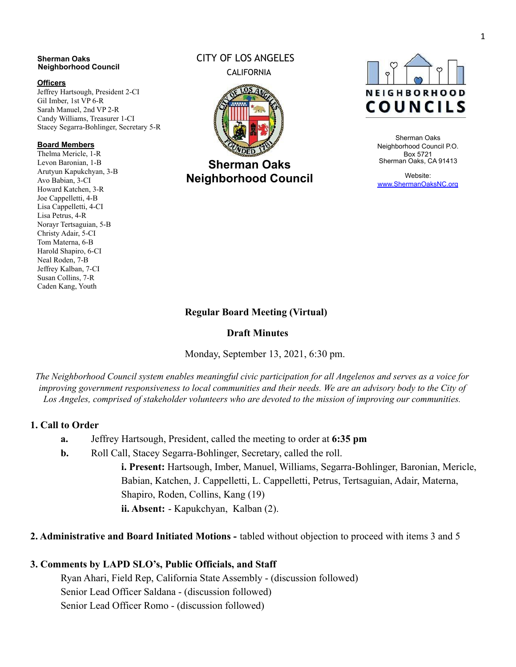#### **Sherman Oaks Neighborhood Council**

#### **Officers**

Jeffrey Hartsough, President 2-CI Gil Imber, 1st VP 6-R Sarah Manuel, 2nd VP 2-R Candy Williams, Treasurer 1-CI Stacey Segarra-Bohlinger, Secretary 5-R

#### **Board Members**

Thelma Mericle, 1-R Levon Baronian, 1-B Arutyun Kapukchyan, 3-B Avo Babian, 3-CI Howard Katchen, 3-R Joe Cappelletti, 4-B Lisa Cappelletti, 4-CI Lisa Petrus, 4-R Norayr Tertsaguian, 5-B Christy Adair, 5-CI Tom Materna, 6-B Harold Shapiro, 6-CI Neal Roden, 7-B Jeffrey Kalban, 7-CI Susan Collins, 7-R Caden Kang, Youth

# CITY OF LOS ANGELES CALIFORNIA



**Sherman Oaks Neighborhood Council**



Sherman Oaks Neighborhood Council P.O. Box 5721 Sherman Oaks, CA 91413

Website: [www.ShermanOaksNC.org](http://www.shermanoaksnc.org/)

## **Regular Board Meeting (Virtual)**

### **Draft Minutes**

Monday, September 13, 2021, 6:30 pm.

*The Neighborhood Council system enables meaningful civic participation for all Angelenos and serves as a voice for improving government responsiveness to local communities and their needs. We are an advisory body to the City of Los Angeles, comprised of stakeholder volunteers who are devoted to the mission of improving our communities.*

### **1. Call to Order**

- **a.** Jeffrey Hartsough, President, called the meeting to order at **6:35 pm**
- **b.** Roll Call, Stacey Segarra-Bohlinger, Secretary, called the roll.

**i. Present:** Hartsough, Imber, Manuel, Williams, Segarra-Bohlinger, Baronian, Mericle, Babian, Katchen, J. Cappelletti, L. Cappelletti, Petrus, Tertsaguian, Adair, Materna, Shapiro, Roden, Collins, Kang (19) **ii. Absent:** - Kapukchyan, Kalban (2).

**2. Administrative and Board Initiated Motions -** tabled without objection to proceed with items 3 and 5

### **3. Comments by LAPD SLO's, Public Officials, and Staff**

Ryan Ahari, Field Rep, California State Assembly - (discussion followed) Senior Lead Officer Saldana - (discussion followed) Senior Lead Officer Romo - (discussion followed)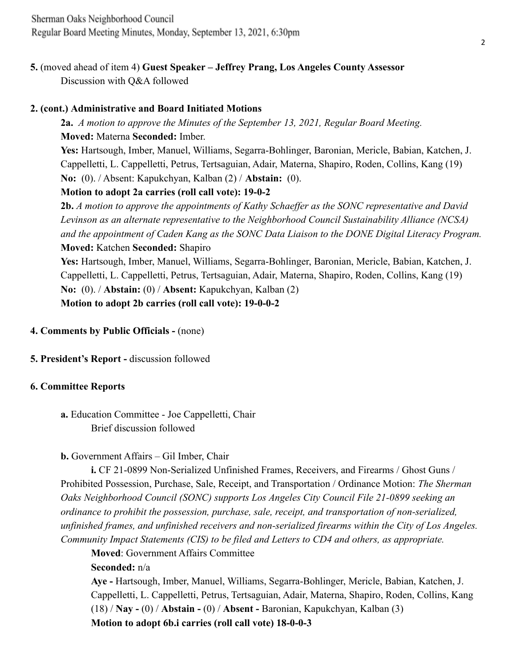## **2. (cont.) Administrative and Board Initiated Motions**

**2a.** *A motion to approve the Minutes of the September 13, 2021, Regular Board Meeting.* **Moved:** Materna **Seconded:** Imber.

**Yes:** Hartsough, Imber, Manuel, Williams, Segarra-Bohlinger, Baronian, Mericle, Babian, Katchen, J. Cappelletti, L. Cappelletti, Petrus, Tertsaguian, Adair, Materna, Shapiro, Roden, Collins, Kang (19) **No:** (0). / Absent: Kapukchyan, Kalban (2) / **Abstain:** (0).

# **Motion to adopt 2a carries (roll call vote): 19-0-2**

**2b.** *A motion to approve the appointments of Kathy Schaeffer as the SONC representative and David Levinson as an alternate representative to the Neighborhood Council Sustainability Alliance (NCSA) and the appointment of Caden Kang as the SONC Data Liaison to the DONE Digital Literacy Program.* **Moved:** Katchen **Seconded:** Shapiro

**Yes:** Hartsough, Imber, Manuel, Williams, Segarra-Bohlinger, Baronian, Mericle, Babian, Katchen, J. Cappelletti, L. Cappelletti, Petrus, Tertsaguian, Adair, Materna, Shapiro, Roden, Collins, Kang (19) **No:** (0). / **Abstain:** (0) / **Absent:** Kapukchyan, Kalban (2) **Motion to adopt 2b carries (roll call vote): 19-0-0-2**

**4. Comments by Public Officials -** (none)

**5. President's Report -** discussion followed

# **6. Committee Reports**

**a.** Education Committee - Joe Cappelletti, Chair Brief discussion followed

## **b.** Government Affairs – Gil Imber, Chair

**i.** CF 21-0899 Non-Serialized Unfinished Frames, Receivers, and Firearms / Ghost Guns / Prohibited Possession, Purchase, Sale, Receipt, and Transportation / Ordinance Motion: *The Sherman Oaks Neighborhood Council (SONC) supports Los Angeles City Council File 21-0899 seeking an ordinance to prohibit the possession, purchase, sale, receipt, and transportation of non-serialized, unfinished frames, and unfinished receivers and non-serialized firearms within the City of Los Angeles. Community Impact Statements (CIS) to be filed and Letters to CD4 and others, as appropriate.*

**Moved**: Government Affairs Committee

**Seconded:** n/a

**Aye -** Hartsough, Imber, Manuel, Williams, Segarra-Bohlinger, Mericle, Babian, Katchen, J. Cappelletti, L. Cappelletti, Petrus, Tertsaguian, Adair, Materna, Shapiro, Roden, Collins, Kang (18) / **Nay -** (0) / **Abstain -** (0) / **Absent -** Baronian, Kapukchyan, Kalban (3) **Motion to adopt 6b.i carries (roll call vote) 18-0-0-3**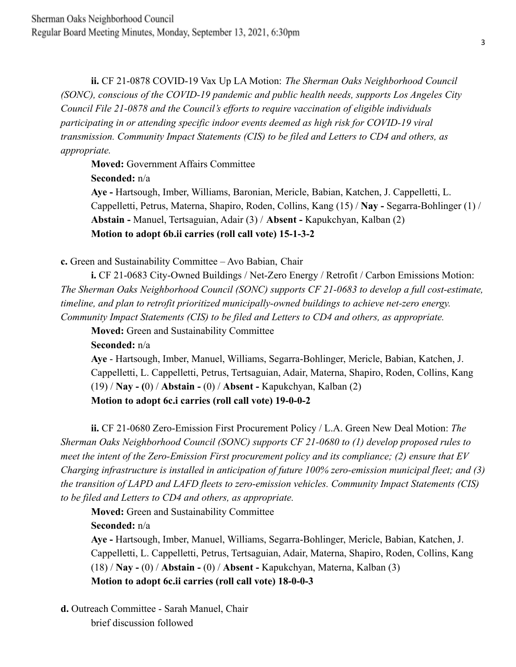**ii.** CF 21-0878 COVID-19 Vax Up LA Motion: *The Sherman Oaks Neighborhood Council (SONC), conscious of the COVID-19 pandemic and public health needs, supports Los Angeles City Council File 21-0878 and the Council's efforts to require vaccination of eligible individuals participating in or attending specific indoor events deemed as high risk for COVID-19 viral transmission. Community Impact Statements (CIS) to be filed and Letters to CD4 and others, as appropriate.*

**Moved:** Government Affairs Committee

**Seconded:** n/a

**Aye -** Hartsough, Imber, Williams, Baronian, Mericle, Babian, Katchen, J. Cappelletti, L. Cappelletti, Petrus, Materna, Shapiro, Roden, Collins, Kang (15) / **Nay -** Segarra-Bohlinger (1) / **Abstain -** Manuel, Tertsaguian, Adair (3) / **Absent -** Kapukchyan, Kalban (2) **Motion to adopt 6b.ii carries (roll call vote) 15-1-3-2**

**c.** Green and Sustainability Committee – Avo Babian, Chair

**i.** CF 21-0683 City-Owned Buildings / Net-Zero Energy / Retrofit / Carbon Emissions Motion: *The Sherman Oaks Neighborhood Council (SONC) supports CF 21-0683 to develop a full cost-estimate, timeline, and plan to retrofit prioritized municipally-owned buildings to achieve net-zero energy. Community Impact Statements (CIS) to be filed and Letters to CD4 and others, as appropriate.*

**Moved:** Green and Sustainability Committee

**Seconded:** n/a

**Aye** - Hartsough, Imber, Manuel, Williams, Segarra-Bohlinger, Mericle, Babian, Katchen, J. Cappelletti, L. Cappelletti, Petrus, Tertsaguian, Adair, Materna, Shapiro, Roden, Collins, Kang (19) / **Nay - (**0) / **Abstain -** (0) / **Absent -** Kapukchyan, Kalban (2) **Motion to adopt 6c.i carries (roll call vote) 19-0-0-2**

**ii.** CF 21-0680 Zero-Emission First Procurement Policy / L.A. Green New Deal Motion: *The Sherman Oaks Neighborhood Council (SONC) supports CF 21-0680 to (1) develop proposed rules to meet the intent of the Zero-Emission First procurement policy and its compliance; (2) ensure that EV Charging infrastructure is installed in anticipation of future 100% zero-emission municipal fleet; and (3) the transition of LAPD and LAFD fleets to zero-emission vehicles. Community Impact Statements (CIS) to be filed and Letters to CD4 and others, as appropriate.*

**Moved:** Green and Sustainability Committee

**Seconded:** n/a

**Aye -** Hartsough, Imber, Manuel, Williams, Segarra-Bohlinger, Mericle, Babian, Katchen, J. Cappelletti, L. Cappelletti, Petrus, Tertsaguian, Adair, Materna, Shapiro, Roden, Collins, Kang (18) / **Nay -** (0) / **Abstain -** (0) / **Absent -** Kapukchyan, Materna, Kalban (3) **Motion to adopt 6c.ii carries (roll call vote) 18-0-0-3**

**d.** Outreach Committee - Sarah Manuel, Chair brief discussion followed